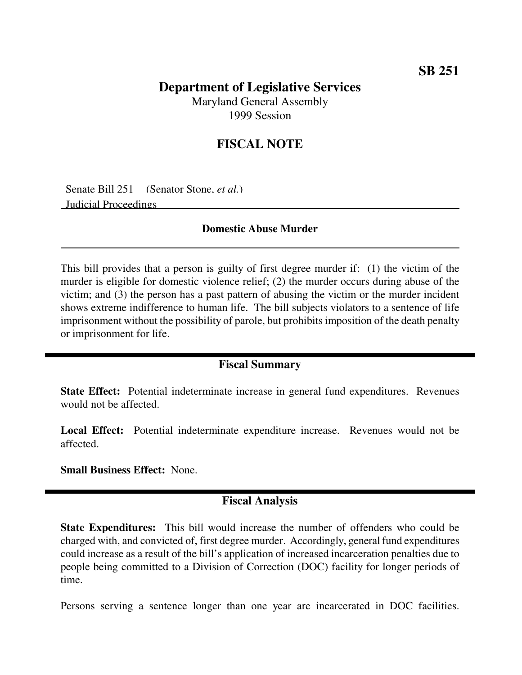# **Department of Legislative Services**

Maryland General Assembly 1999 Session

## **FISCAL NOTE**

Senate Bill 251 (Senator Stone, *et al.*) Judicial Proceedings

#### **Domestic Abuse Murder**

This bill provides that a person is guilty of first degree murder if: (1) the victim of the murder is eligible for domestic violence relief; (2) the murder occurs during abuse of the victim; and (3) the person has a past pattern of abusing the victim or the murder incident shows extreme indifference to human life. The bill subjects violators to a sentence of life imprisonment without the possibility of parole, but prohibitsimposition of the death penalty or imprisonment for life.

### **Fiscal Summary**

**State Effect:** Potential indeterminate increase in general fund expenditures. Revenues would not be affected.

**Local Effect:** Potential indeterminate expenditure increase. Revenues would not be affected.

**Small Business Effect:** None.

## **Fiscal Analysis**

**State Expenditures:** This bill would increase the number of offenders who could be charged with, and convicted of, first degree murder. Accordingly, general fund expenditures could increase as a result of the bill's application of increased incarceration penalties due to people being committed to a Division of Correction (DOC) facility for longer periods of time.

Persons serving a sentence longer than one year are incarcerated in DOC facilities.